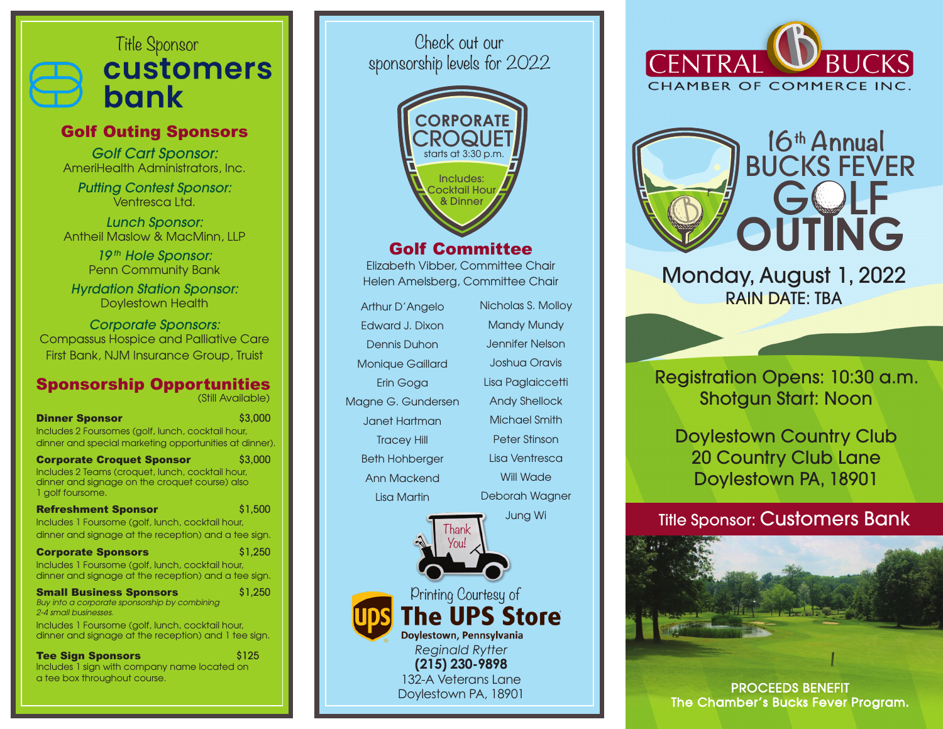# Title Sponsor<br>**CUStOMErS** bank

# Golf Outing Sponsors

Golf Cart Sponsor: AmeriHealth Administrators, Inc.

Putting Contest Sponsor: Ventresca I td.

Lunch Sponsor: Antheil Maslow & MacMinn, LLP

> 19<sup>th</sup> Hole Sponsor: Penn Community Bank

Hyrdation Station Sponsor: Doylestown Health

Corporate Sponsors: Compassus Hospice and Palliative Care First Bank, NJM Insurance Group, Truist

#### Sponsorship Opportunities (Still Available)

**Dinner Sponsor #2,000 \$3,000 \$3,000 \$3,000 \$3,000 \$3,000 \$3,000 \$** Includes 2 Foursomes (golf, lunch, cocktail hour, dinner and special marketing opportunities at dinner).

**Corporate Croquet Sponsor** \$3,000 Includes 2 Teams (croquet, lunch, cocktail hour, dinner and signage on the croquet course) also 1 golf foursome.

| <b>Refreshment Sponsor</b>                           | \$1,500                                                 |  |
|------------------------------------------------------|---------------------------------------------------------|--|
| Includes 1 Foursome (golf, lunch, cocktail hour,     |                                                         |  |
| dinner and signage at the reception) and a tee sign. |                                                         |  |
|                                                      | $\lambda$ <sub>3</sub> $\lambda$ <sup>2</sup> $\lambda$ |  |

**Corporate Sponsors** \$1,250 Includes 1 Foursome (golf, lunch, cocktail hour, dinner and signage at the reception) and a tee sign.

**Small Business Sponsors** \$1,250 *Buy into a corporate sponsorship by combining 2-4 small businesses.*

Includes 1 Foursome (golf, lunch, cocktail hour, dinner and signage at the reception) and 1 tee sign.

Tee Sign Sponsors **\$125** Includes 1 sign with company name located on a tee box throughout course.

Check out our sponsorship levels for 2022



# Golf Committee

Elizabeth Vibber, Committee Chair Helen Amelsberg, Committee Chair

Printing Courtesy of

**The UPS Store** 

nan You!

*Reginald Rytter* **(215) 230-9898** 132-A Veterans Lane Doylestown PA, 18901

Doylestown, Pennsylvania

Arthur D'Angelo Edward J. Dixon Dennis Duhon Monique Gaillard Erin Goga Magne G. Gundersen Janet Hartman Tracey Hill Beth Hohberger Ann Mackend

Lisa Martin

Nicholas S. Molloy Mandy Mundy Jennifer Nelson Joshua Oravis Lisa Paglaiccetti Andy Shellock Michael Smith Peter Stinson Lisa Ventresca Will Wade

Deborah Wagner Jung Wi





Monday, August 1, 2022 RAIN DATE: TBA

Registration Opens: 10:30 a.m. Shotgun Start: Noon

Doylestown Country Club 20 Country Club Lane Doylestown PA, 18901

Title Sponsor: Customers Bank



PROCEEDS BENEFIT The Chamber's Bucks Fever Program.